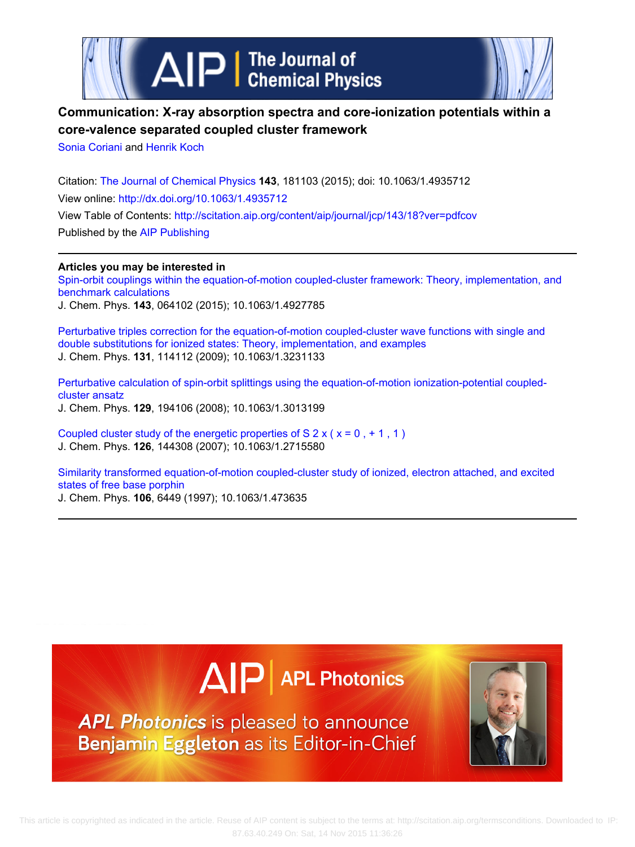



# **Communication: X-ray absorption spectra and core-ionization potentials within a core-valence separated coupled cluster framework**

[Sonia Coriani](http://scitation.aip.org/search?value1=Sonia+Coriani&option1=author) and [Henrik Koch](http://scitation.aip.org/search?value1=Henrik+Koch&option1=author)

Citation: [The Journal of Chemical Physics](http://scitation.aip.org/content/aip/journal/jcp?ver=pdfcov) **143**, 181103 (2015); doi: 10.1063/1.4935712 View online: <http://dx.doi.org/10.1063/1.4935712> View Table of Contents:<http://scitation.aip.org/content/aip/journal/jcp/143/18?ver=pdfcov> Published by the [AIP Publishing](http://scitation.aip.org/content/aip?ver=pdfcov)

**Articles you may be interested in**

[Spin-orbit couplings within the equation-of-motion coupled-cluster framework: Theory, implementation, and](http://scitation.aip.org/content/aip/journal/jcp/143/6/10.1063/1.4927785?ver=pdfcov) [benchmark calculations](http://scitation.aip.org/content/aip/journal/jcp/143/6/10.1063/1.4927785?ver=pdfcov)

J. Chem. Phys. **143**, 064102 (2015); 10.1063/1.4927785

[Perturbative triples correction for the equation-of-motion coupled-cluster wave functions with single and](http://scitation.aip.org/content/aip/journal/jcp/131/11/10.1063/1.3231133?ver=pdfcov) [double substitutions for ionized states: Theory, implementation, and examples](http://scitation.aip.org/content/aip/journal/jcp/131/11/10.1063/1.3231133?ver=pdfcov) J. Chem. Phys. **131**, 114112 (2009); 10.1063/1.3231133

[Perturbative calculation of spin-orbit splittings using the equation-of-motion ionization-potential coupled](http://scitation.aip.org/content/aip/journal/jcp/129/19/10.1063/1.3013199?ver=pdfcov)[cluster ansatz](http://scitation.aip.org/content/aip/journal/jcp/129/19/10.1063/1.3013199?ver=pdfcov) J. Chem. Phys. **129**, 194106 (2008); 10.1063/1.3013199

Coupled cluster study of the energetic properties of  $S$  2 x ( $x = 0, +1, 1$ ) J. Chem. Phys. **126**, 144308 (2007); 10.1063/1.2715580

[Similarity transformed equation-of-motion coupled-cluster study of ionized, electron attached, and excited](http://scitation.aip.org/content/aip/journal/jcp/106/15/10.1063/1.473635?ver=pdfcov) [states of free base porphin](http://scitation.aip.org/content/aip/journal/jcp/106/15/10.1063/1.473635?ver=pdfcov) J. Chem. Phys. **106**, 6449 (1997); 10.1063/1.473635





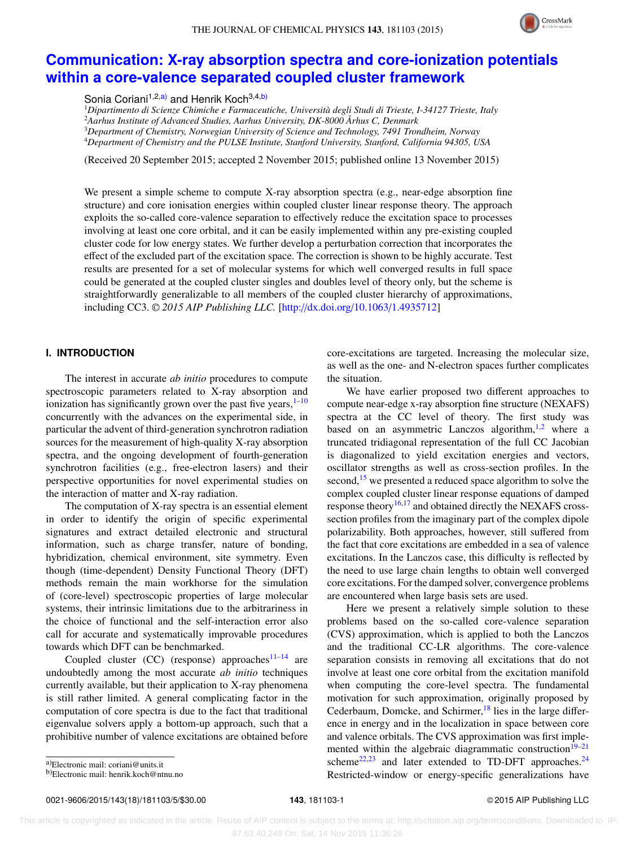

# **[Communication: X-ray absorption spectra and core-ionization potentials](http://dx.doi.org/10.1063/1.4935712) [within a core-valence separated coupled cluster framework](http://dx.doi.org/10.1063/1.4935712)**

Sonia Coriani<sup>1,2[,a\)](#page-1-0)</sup> and Henrik Koch<sup>3,4,b</sup>)

*Dipartimento di Scienze Chimiche e Farmaceutiche, Università degli Studi di Trieste, I-34127 Trieste, Italy Aarhus Institute of Advanced Studies, Aarhus University, DK-8000 Århus C, Denmark Department of Chemistry, Norwegian University of Science and Technology, 7491 Trondheim, Norway Department of Chemistry and the PULSE Institute, Stanford University, Stanford, California 94305, USA*

(Received 20 September 2015; accepted 2 November 2015; published online 13 November 2015)

We present a simple scheme to compute X-ray absorption spectra (e.g., near-edge absorption fine structure) and core ionisation energies within coupled cluster linear response theory. The approach exploits the so-called core-valence separation to effectively reduce the excitation space to processes involving at least one core orbital, and it can be easily implemented within any pre-existing coupled cluster code for low energy states. We further develop a perturbation correction that incorporates the effect of the excluded part of the excitation space. The correction is shown to be highly accurate. Test results are presented for a set of molecular systems for which well converged results in full space could be generated at the coupled cluster singles and doubles level of theory only, but the scheme is straightforwardly generalizable to all members of the coupled cluster hierarchy of approximations, including CC3. <sup>C</sup> *2015 AIP Publishing LLC.* [\[http:](http://dx.doi.org/10.1063/1.4935712)//[dx.doi.org](http://dx.doi.org/10.1063/1.4935712)/[10.1063](http://dx.doi.org/10.1063/1.4935712)/[1.4935712\]](http://dx.doi.org/10.1063/1.4935712)

# **I. INTRODUCTION**

The interest in accurate *ab initio* procedures to compute spectroscopic parameters related to X-ray absorption and ionization has significantly grown over the past five years, $1-10$  $1-10$ concurrently with the advances on the experimental side, in particular the advent of third-generation synchrotron radiation sources for the measurement of high-quality X-ray absorption spectra, and the ongoing development of fourth-generation synchrotron facilities (e.g., free-electron lasers) and their perspective opportunities for novel experimental studies on the interaction of matter and X-ray radiation.

The computation of X-ray spectra is an essential element in order to identify the origin of specific experimental signatures and extract detailed electronic and structural information, such as charge transfer, nature of bonding, hybridization, chemical environment, site symmetry. Even though (time-dependent) Density Functional Theory (DFT) methods remain the main workhorse for the simulation of (core-level) spectroscopic properties of large molecular systems, their intrinsic limitations due to the arbitrariness in the choice of functional and the self-interaction error also call for accurate and systematically improvable procedures towards which DFT can be benchmarked.

Coupled cluster (CC) (response) approaches $11-14$  $11-14$  are undoubtedly among the most accurate *ab initio* techniques currently available, but their application to X-ray phenomena is still rather limited. A general complicating factor in the computation of core spectra is due to the fact that traditional eigenvalue solvers apply a bottom-up approach, such that a prohibitive number of valence excitations are obtained before core-excitations are targeted. Increasing the molecular size, as well as the one- and N-electron spaces further complicates the situation.

We have earlier proposed two different approaches to compute near-edge x-ray absorption fine structure (NEXAFS) spectra at the CC level of theory. The first study was based on an asymmetric Lanczos algorithm, $1,2$  $1,2$  where a truncated tridiagonal representation of the full CC Jacobian is diagonalized to yield excitation energies and vectors, oscillator strengths as well as cross-section profiles. In the second,<sup>[15](#page-5-5)</sup> we presented a reduced space algorithm to solve the complex coupled cluster linear response equations of damped response theory<sup>[16](#page-5-6)[,17](#page-5-7)</sup> and obtained directly the NEXAFS crosssection profiles from the imaginary part of the complex dipole polarizability. Both approaches, however, still suffered from the fact that core excitations are embedded in a sea of valence excitations. In the Lanczos case, this difficulty is reflected by the need to use large chain lengths to obtain well converged core excitations. For the damped solver, convergence problems are encountered when large basis sets are used.

Here we present a relatively simple solution to these problems based on the so-called core-valence separation (CVS) approximation, which is applied to both the Lanczos and the traditional CC-LR algorithms. The core-valence separation consists in removing all excitations that do not involve at least one core orbital from the excitation manifold when computing the core-level spectra. The fundamental motivation for such approximation, originally proposed by Cederbaum, Domcke, and Schirmer,<sup>[18](#page-5-8)</sup> lies in the large difference in energy and in the localization in space between core and valence orbitals. The CVS approximation was first imple-mented within the algebraic diagrammatic construction<sup>[19–](#page-5-9)[21](#page-5-10)</sup> scheme<sup>[22,](#page-5-11)[23](#page-5-12)</sup> and later extended to TD-DFT approaches.<sup>[24](#page-5-13)</sup> Restricted-window or energy-specific generalizations have

0021-9606/2015/143(18)/181103/5/\$30.00 **143**, 181103-1 © 2015 AIP Publishing LLC

<span id="page-1-0"></span>a)Electronic mail: [coriani@units.it](mailto:coriani@units.it)

<span id="page-1-1"></span>b)Electronic mail: [henrik.koch@ntnu.no](mailto:henrik.koch@ntnu.no)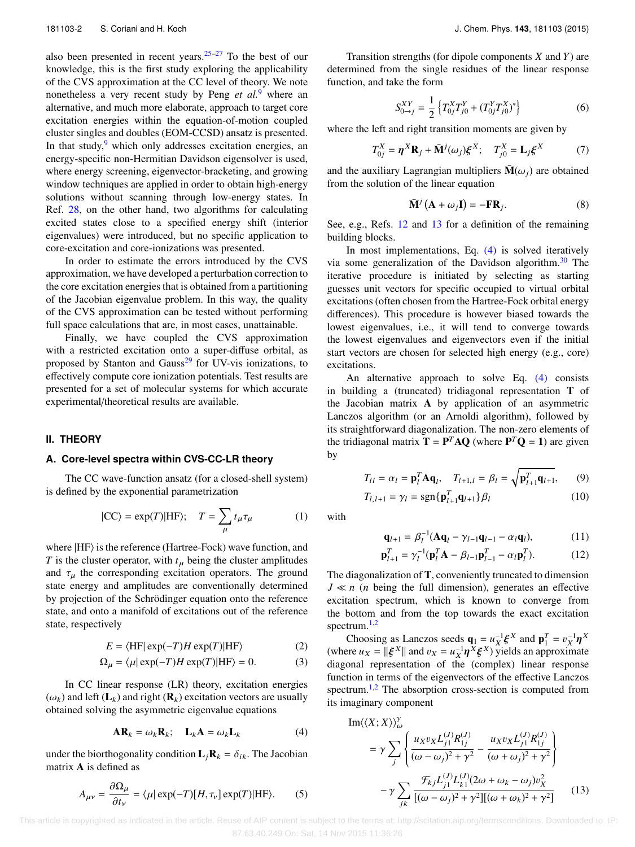also been presented in recent years.  $25-27$  $25-27$  To the best of our knowledge, this is the first study exploring the applicability of the CVS approximation at the CC level of theory. We note nonetheless a very recent study by Peng *et al.*[9](#page-5-16) where an alternative, and much more elaborate, approach to target core excitation energies within the equation-of-motion coupled cluster singles and doubles (EOM-CCSD) ansatz is presented. In that study, $9$  which only addresses excitation energies, an energy-specific non-Hermitian Davidson eigensolver is used, where energy screening, eigenvector-bracketing, and growing window techniques are applied in order to obtain high-energy solutions without scanning through low-energy states. In Ref. [28,](#page-5-17) on the other hand, two algorithms for calculating excited states close to a specified energy shift (interior eigenvalues) were introduced, but no specific application to core-excitation and core-ionizations was presented.

In order to estimate the errors introduced by the CVS approximation, we have developed a perturbation correction to the core excitation energies that is obtained from a partitioning of the Jacobian eigenvalue problem. In this way, the quality of the CVS approximation can be tested without performing full space calculations that are, in most cases, unattainable.

Finally, we have coupled the CVS approximation with a restricted excitation onto a super-diffuse orbital, as proposed by Stanton and Gauss $29$  for UV-vis ionizations, to effectively compute core ionization potentials. Test results are presented for a set of molecular systems for which accurate experimental/theoretical results are available.

#### **II. THEORY**

### **A. Core-level spectra within CVS-CC-LR theory**

The CC wave-function ansatz (for a closed-shell system) is defined by the exponential parametrization

$$
|CC\rangle = \exp(T)|HF\rangle; \quad T = \sum_{\mu} t_{\mu} \tau_{\mu} \tag{1}
$$

where  $|HF\rangle$  is the reference (Hartree-Fock) wave function, and *T* is the cluster operator, with  $t<sub>\mu</sub>$  being the cluster amplitudes and  $\tau_{\mu}$  the corresponding excitation operators. The ground state energy and amplitudes are conventionally determined by projection of the Schrödinger equation onto the reference state, and onto a manifold of excitations out of the reference state, respectively

$$
E = \langle \text{HF} | \exp(-T)H \exp(T) | \text{HF} \rangle \tag{2}
$$

$$
\Omega_{\mu} = \langle \mu | \exp(-T) H \exp(T) | \text{HF} \rangle = 0. \tag{3}
$$

In CC linear response (LR) theory, excitation energies  $(\omega_k)$  and left  $(L_k)$  and right  $(R_k)$  excitation vectors are usually obtained solving the asymmetric eigenvalue equations

$$
AR_k = \omega_k R_k; \quad L_k A = \omega_k L_k \tag{4}
$$

under the biorthogonality condition  $\mathbf{L}_j \mathbf{R}_k = \delta_{ik}$ . The Jacobian matrix A is defined as

$$
A_{\mu\nu} = \frac{\partial \Omega_{\mu}}{\partial t_{\nu}} = \langle \mu | \exp(-T)[H, \tau_{\nu}] \exp(T) | \text{HF} \rangle. \tag{5}
$$

Transition strengths (for dipole components *X* and *Y*) are determined from the single residues of the linear response function, and take the form

$$
S_{0\to j}^{XY} = \frac{1}{2} \left\{ T_{0j}^X T_{j0}^Y + (T_{0j}^Y T_{j0}^X)^* \right\} \tag{6}
$$

where the left and right transition moments are given by

$$
T_{0j}^X = \eta^X \mathbf{R}_j + \bar{\mathbf{M}}^j(\omega_j) \xi^X; \quad T_{j0}^X = \mathbf{L}_j \xi^X \tag{7}
$$

and the auxiliary Lagrangian multipliers  $\bar{M}(\omega_i)$  are obtained from the solution of the linear equation

<span id="page-2-1"></span>
$$
\overline{\mathbf{M}}^{j} \left( \mathbf{A} + \omega_{j} \mathbf{I} \right) = -\mathbf{F} \mathbf{R}_{j}.
$$
 (8)

See, e.g., Refs. [12](#page-5-19) and [13](#page-5-20) for a definition of the remaining building blocks.

In most implementations, Eq.  $(4)$  is solved iteratively via some generalization of the Davidson algorithm. $30$  The iterative procedure is initiated by selecting as starting guesses unit vectors for specific occupied to virtual orbital excitations (often chosen from the Hartree-Fock orbital energy differences). This procedure is however biased towards the lowest eigenvalues, i.e., it will tend to converge towards the lowest eigenvalues and eigenvectors even if the initial start vectors are chosen for selected high energy (e.g., core) excitations.

An alternative approach to solve Eq. [\(4\)](#page-2-0) consists in building a (truncated) tridiagonal representation T of the Jacobian matrix A by application of an asymmetric Lanczos algorithm (or an Arnoldi algorithm), followed by its straightforward diagonalization. The non-zero elements of the tridiagonal matrix  $T = P^T A Q$  (where  $P^T Q = 1$ ) are given by

$$
T_{ll} = \alpha_l = \mathbf{p}_l^T \mathbf{A} \mathbf{q}_l, \quad T_{l+1,l} = \beta_l = \sqrt{\mathbf{p}_{l+1}^T \mathbf{q}_{l+1}}, \quad (9)
$$

$$
T_{l,l+1} = \gamma_l = \operatorname{sgn}\{\mathbf{p}_{l+1}^T \mathbf{q}_{l+1}\} \beta_l \tag{10}
$$

with

$$
\mathbf{q}_{l+1} = \beta_l^{-1} (\mathbf{A}\mathbf{q}_l - \gamma_{l-1}\mathbf{q}_{l-1} - \alpha_l \mathbf{q}_l),\tag{11}
$$

$$
\mathbf{p}_{l+1}^T = \gamma_l^{-1} (\mathbf{p}_l^T \mathbf{A} - \beta_{l-1} \mathbf{p}_{l-1}^T - \alpha_l \mathbf{p}_l^T). \tag{12}
$$

The diagonalization of T, conveniently truncated to dimension *J* ≪ *n* (*n* being the full dimension), generates an effective excitation spectrum, which is known to converge from the bottom and from the top towards the exact excitation spectrum.<sup>[1](#page-5-0)[,2](#page-5-4)</sup>

Choosing as Lanczos seeds  $\mathbf{q}_1 = u_X^{-1} \boldsymbol{\xi}^X$  and  $\mathbf{p}_1^T = v_X^{-1} \boldsymbol{\eta}^X$ <br>re  $u_Y = ||\boldsymbol{\xi}^X||$  and  $v_Y = u^{-1} \boldsymbol{\eta}^X \boldsymbol{\xi}^X$ ) yields an approximate (where  $u_X = ||\xi^X||$  and  $v_X = u_X^{-1} \eta^X \xi^X$ ) yields an approximate<br>diagonal representation of the (complex) linear response diagonal representation of the (complex) linear response function in terms of the eigenvectors of the effective Lanczos spectrum.<sup>[1](#page-5-0)[,2](#page-5-4)</sup> The absorption cross-section is computed from its imaginary component

<span id="page-2-0"></span>Im
$$
\langle \langle X; X \rangle \rangle_{\omega}^{y}
$$
  
=  $\gamma \sum_{j} \left\{ \frac{u_{X}v_{X}L_{j1}^{(J)}R_{1j}^{(J)}}{(\omega - \omega_{j})^{2} + \gamma^{2}} - \frac{u_{X}v_{X}L_{j1}^{(J)}R_{1j}^{(J)}}{(\omega + \omega_{j})^{2} + \gamma^{2}} \right\}$   

$$
-\gamma \sum_{jk} \frac{\mathcal{F}_{kj}L_{j1}^{(J)}L_{k1}^{(J)}(2\omega + \omega_{k} - \omega_{j})v_{X}^{2}}{[(\omega - \omega_{j})^{2} + \gamma^{2}][( \omega + \omega_{k})^{2} + \gamma^{2}]} \qquad (13)
$$

 This article is copyrighted as indicated in the article. Reuse of AIP content is subject to the terms at: http://scitation.aip.org/termsconditions. Downloaded to IP: 87.63.40.249 On: Sat, 14 Nov 2015 11:36:26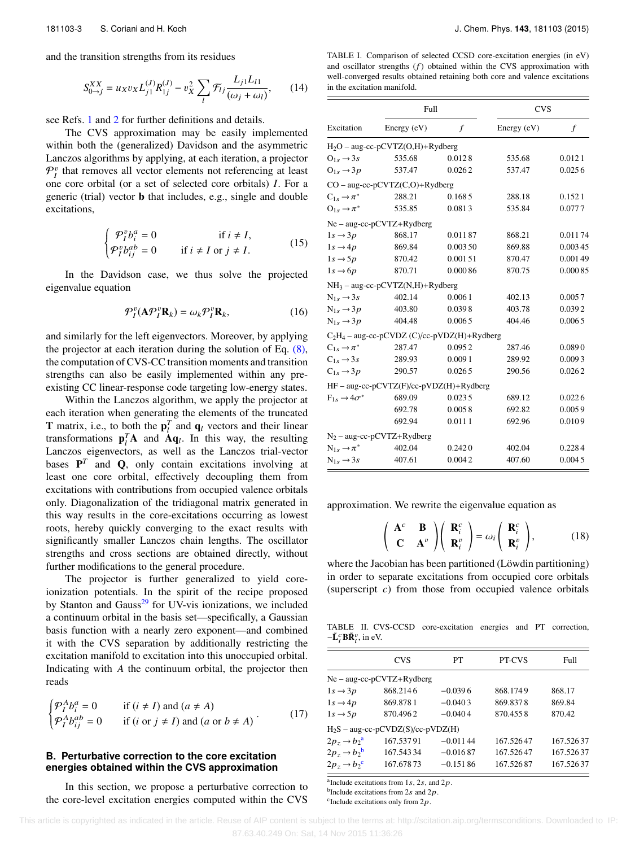and the transition strengths from its residues

$$
S_{0\to j}^{XX} = u_X v_X L_{j1}^{(J)} R_{1j}^{(J)} - v_X^2 \sum_l \mathcal{F}_{lj} \frac{L_{j1} L_{l1}}{(\omega_j + \omega_l)},\qquad(14)
$$

see Refs. [1](#page-5-0) and [2](#page-5-4) for further definitions and details.

The CVS approximation may be easily implemented within both the (generalized) Davidson and the asymmetric Lanczos algorithms by applying, at each iteration, a projector  $\mathcal{P}_I^v$  that removes all vector elements not referencing at least one core orbital (or a set of selected core orbitals) *I*. For a generic (trial) vector b that includes, e.g., single and double excitations,

$$
\begin{cases}\n\mathcal{P}_I^v b_i^a = 0 & \text{if } i \neq I, \\
\mathcal{P}_I^v b_{ij}^{ab} = 0 & \text{if } i \neq I \text{ or } j \neq I.\n\end{cases}
$$
\n(15)

In the Davidson case, we thus solve the projected eigenvalue equation

$$
\mathcal{P}_I^v(\mathbf{A}\mathcal{P}_I^v\mathbf{R}_k) = \omega_k \mathcal{P}_I^v\mathbf{R}_k, \tag{16}
$$

and similarly for the left eigenvectors. Moreover, by applying the projector at each iteration during the solution of Eq.  $(8)$ , the computation of CVS-CC transition moments and transition strengths can also be easily implemented within any preexisting CC linear-response code targeting low-energy states.

Within the Lanczos algorithm, we apply the projector at each iteration when generating the elements of the truncated **T** matrix, i.e., to both the  $\mathbf{p}_l^T$  and  $\mathbf{q}_l$  vectors and their linear transformations  $\mathbf{p}_l^T \mathbf{A}$  and  $\mathbf{A} \mathbf{q}_l$ . In this way, the resulting Lanczos eigenvectors, as well as the Lanczos trial-vector bases  $P^T$  and Q, only contain excitations involving at least one core orbital, effectively decoupling them from excitations with contributions from occupied valence orbitals only. Diagonalization of the tridiagonal matrix generated in this way results in the core-excitations occurring as lowest roots, hereby quickly converging to the exact results with significantly smaller Lanczos chain lengths. The oscillator strengths and cross sections are obtained directly, without further modifications to the general procedure.

The projector is further generalized to yield coreionization potentials. In the spirit of the recipe proposed by Stanton and Gauss $^{29}$  $^{29}$  $^{29}$  for UV-vis ionizations, we included a continuum orbital in the basis set—specifically, a Gaussian basis function with a nearly zero exponent—and combined it with the CVS separation by additionally restricting the excitation manifold to excitation into this unoccupied orbital. Indicating with *A* the continuum orbital, the projector then reads

$$
\begin{cases}\n\mathcal{P}_I^A b_i^a = 0 & \text{if } (i \neq I) \text{ and } (a \neq A) \\
\mathcal{P}_I^A b_{ij}^{ab} = 0 & \text{if } (i \text{ or } j \neq I) \text{ and } (a \text{ or } b \neq A)\n\end{cases} (17)
$$

#### **B. Perturbative correction to the core excitation energies obtained within the CVS approximation**

In this section, we propose a perturbative correction to the core-level excitation energies computed within the CVS

<span id="page-3-4"></span>TABLE I. Comparison of selected CCSD core-excitation energies (in eV) and oscillator strengths  $(f)$  obtained within the CVS approximation with well-converged results obtained retaining both core and valence excitations in the excitation manifold.

|                                                | Full                                    |         | <b>CVS</b>  |                  |  |  |  |  |
|------------------------------------------------|-----------------------------------------|---------|-------------|------------------|--|--|--|--|
| Excitation                                     | Energy (eV)                             | f       | Energy (eV) | $\boldsymbol{f}$ |  |  |  |  |
| $H_2O$ – aug-cc-pCVTZ( $O,H$ )+Rydberg         |                                         |         |             |                  |  |  |  |  |
| $O_{1s} \rightarrow 3s$                        | 535.68                                  | 0.0128  | 535.68      | 0.0121           |  |  |  |  |
| $O_{1s} \rightarrow 3p$                        | 537.47                                  | 0.0262  | 537.47      | 0.0256           |  |  |  |  |
| $CO - aug-cc-pCVTZ(C,O)+Rydberg$               |                                         |         |             |                  |  |  |  |  |
| $C_{1s} \rightarrow \pi^*$                     | 288.21                                  | 0.1685  | 288.18      | 0.1521           |  |  |  |  |
| $O_{1s} \rightarrow \pi^*$                     | 535.85                                  | 0.0813  | 535.84      | 0.0777           |  |  |  |  |
| $Ne - aug-cc-pCVTZ+Rydberg$                    |                                         |         |             |                  |  |  |  |  |
| $1s \rightarrow 3p$                            | 868.17                                  | 0.01187 | 868.21      | 0.01174          |  |  |  |  |
| $1s \rightarrow 4p$                            | 869.84                                  | 0.00350 | 869.88      | 0.00345          |  |  |  |  |
| $1s \rightarrow 5p$                            | 870.42                                  | 0.00151 | 870.47      | 0.001 49         |  |  |  |  |
| $1s \rightarrow 6p$                            | 870.71                                  | 0.00086 | 870.75      | 0.00085          |  |  |  |  |
| NH <sub>3</sub> - aug-cc-pCVTZ(N,H)+Rydberg    |                                         |         |             |                  |  |  |  |  |
| $N_{1s} \rightarrow 3s$                        | 402.14                                  | 0.0061  | 402.13      | 0.0057           |  |  |  |  |
| $N_{1s} \rightarrow 3p$                        | 403.80                                  | 0.0398  | 403.78      | 0.0392           |  |  |  |  |
| $N_{1s} \rightarrow 3p$                        | 404.48                                  | 0.0065  | 404.46      | 0.0065           |  |  |  |  |
| $C_2H_4$ – aug-cc-pCVDZ (C)/cc-pVDZ(H)+Rydberg |                                         |         |             |                  |  |  |  |  |
| $C_{1s} \rightarrow \pi^*$                     | 287.47                                  | 0.0952  | 287.46      | 0.0890           |  |  |  |  |
| $C_{1s} \rightarrow 3s$                        | 289.93                                  | 0.0091  | 289.92      | 0.0093           |  |  |  |  |
| $C_{1s} \rightarrow 3p$                        | 290.57                                  | 0.0265  | 290.56      | 0.0262           |  |  |  |  |
|                                                | HF - aug-cc-pCVTZ(F)/cc-pVDZ(H)+Rydberg |         |             |                  |  |  |  |  |
| $F_{1s} \rightarrow 4\sigma^*$                 | 689.09                                  | 0.0235  | 689.12      | 0.0226           |  |  |  |  |
|                                                | 692.78                                  | 0.0058  | 692.82      | 0.0059           |  |  |  |  |
|                                                | 692.94                                  | 0.0111  | 692.96      | 0.0109           |  |  |  |  |
| $N_2$ – aug-cc-pCVTZ+Rydberg                   |                                         |         |             |                  |  |  |  |  |
| $N_{1s} \rightarrow \pi^*$                     | 402.04                                  | 0.2420  | 402.04      | 0.2284           |  |  |  |  |
| $N_{1s} \rightarrow 3s$                        | 407.61                                  | 0.0042  | 407.60      | 0.0045           |  |  |  |  |

approximation. We rewrite the eigenvalue equation as

<span id="page-3-3"></span>
$$
\begin{pmatrix}\n\mathbf{A}^c & \mathbf{B} \\
\mathbf{C} & \mathbf{A}^v\n\end{pmatrix}\n\begin{pmatrix}\n\mathbf{R}_i^c \\
\mathbf{R}_i^v\n\end{pmatrix} = \omega_i \begin{pmatrix}\n\mathbf{R}_i^c \\
\mathbf{R}_i^v\n\end{pmatrix},
$$
\n(18)

where the Jacobian has been partitioned (Löwdin partitioning) in order to separate excitations from occupied core orbitals (superscript *c*) from those from occupied valence orbitals

<span id="page-3-5"></span>TABLE II. CVS-CCSD core-excitation energies and PT correction,  $-\tilde{\mathbf{L}}_i^c\mathbf{B}\tilde{\mathbf{R}}_i^v$ , in eV.

|                                     | <b>CVS</b> | PТ         | <b>PT-CVS</b> | <b>Full</b> |  |  |  |  |
|-------------------------------------|------------|------------|---------------|-------------|--|--|--|--|
| $Ne - aug-cc-pCVTZ+Rydberg$         |            |            |               |             |  |  |  |  |
| $1s \rightarrow 3p$                 | 868.2146   | $-0.0396$  | 868.1749      | 868.17      |  |  |  |  |
| $1s \rightarrow 4p$                 | 869.8781   | $-0.0403$  | 869.8378      | 869.84      |  |  |  |  |
| $1s \rightarrow 5p$                 | 870.4962   | $-0.0404$  | 870.4558      | 870.42      |  |  |  |  |
| $H_2S$ – aug-cc-pCVDZ(S)/cc-pVDZ(H) |            |            |               |             |  |  |  |  |
| $2p_z \rightarrow b_2^a$            | 167.53791  | $-0.01144$ | 167.52647     | 167.52637   |  |  |  |  |
| $2p_z \rightarrow b_2^b$            | 167.543.34 | $-0.01687$ | 167.52647     | 167.526.37  |  |  |  |  |
| $2p_z \rightarrow b_2^c$            | 167.678.73 | $-0.15186$ | 167.52687     | 167.526.37  |  |  |  |  |

<span id="page-3-0"></span><sup>a</sup> Include excitations from 1s, 2s, and 2p.

\* ,

<span id="page-3-1"></span><sup>b</sup>Include excitations from 2s and  $2p$ .

<span id="page-3-2"></span><sup>c</sup>Include excitations only from  $2p$ .

This article is copyrighted as indicated in the article. Reuse of AIP content is subject to the terms at: http://scitation.aip.org/termsconditions. Downloaded to IP: 87.63.40.249 On: Sat, 14 Nov 2015 11:36:26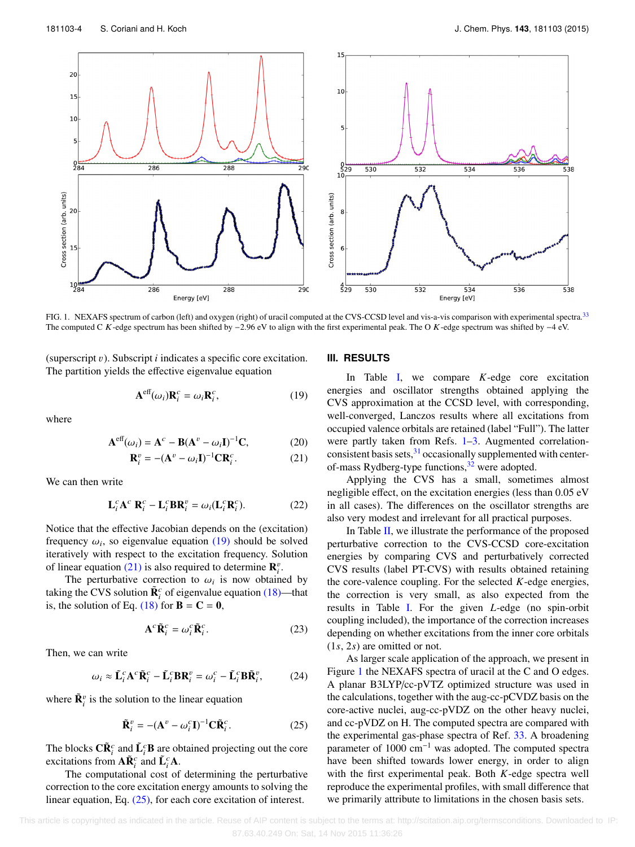<span id="page-4-3"></span>

FIG. 1. NEXAFS spectrum of carbon (left) and oxygen (right) of uracil computed at the CVS-CCSD level and vis-a-vis comparison with experimental spectra.<sup>[33](#page-5-22)</sup> The computed C K-edge spectrum has been shifted by −2.96 eV to align with the first experimental peak. The O K-edge spectrum was shifted by −4 eV.

(superscript v). Subscript *<sup>i</sup>* indicates a specific core excitation. The partition yields the effective eigenvalue equation

$$
\mathbf{A}^{\text{eff}}(\omega_i)\mathbf{R}_i^c = \omega_i \mathbf{R}_i^c,\tag{19}
$$

where

$$
\mathbf{A}^{\text{eff}}(\omega_i) = \mathbf{A}^c - \mathbf{B}(\mathbf{A}^v - \omega_i \mathbf{I})^{-1} \mathbf{C},\tag{20}
$$

$$
\mathbf{R}_i^v = -(\mathbf{A}^v - \omega_i \mathbf{I})^{-1} \mathbf{C} \mathbf{R}_i^c.
$$
 (21)

We can then write

$$
\mathbf{L}_i^c \mathbf{A}^c \mathbf{R}_i^c - \mathbf{L}_i^c \mathbf{B} \mathbf{R}_i^v = \omega_i (\mathbf{L}_i^c \mathbf{R}_i^c).
$$
 (22)

Notice that the effective Jacobian depends on the (excitation) frequency  $\omega_i$ , so eigenvalue equation [\(19\)](#page-4-0) should be solved<br>iteratively with respect to the excitation frequency. Solution iteratively with respect to the excitation frequency. Solution of linear equation [\(21\)](#page-4-1) is also required to determine  $\mathbf{R}_{i}^{v}$ .

The perturbative correction to  $\omega_i$  is now obtained by<br>in the CVS solution  $\tilde{\mathbf{R}}^c$  of eigenvalue equation (18)—that taking the CVS solution  $\tilde{\mathbf{R}}_i^c$  of eigenvalue equation [\(18\)—](#page-3-3)that is, the solution of Eq. [\(18\)](#page-3-3) for  $\mathbf{B} = \mathbf{C} = \mathbf{0}$ ,

$$
\mathbf{A}^c \tilde{\mathbf{R}}_i^c = \omega_i^c \tilde{\mathbf{R}}_i^c.
$$
 (23)

Then, we can write

$$
\omega_i \approx \tilde{\mathbf{L}}_i^c \mathbf{A}^c \tilde{\mathbf{R}}_i^c - \tilde{\mathbf{L}}_i^c \mathbf{B} \mathbf{R}_i^v = \omega_i^c - \tilde{\mathbf{L}}_i^c \mathbf{B} \tilde{\mathbf{R}}_i^v, \tag{24}
$$

where  $\tilde{\mathbf{R}}_i^v$  is the solution to the linear equation

$$
\tilde{\mathbf{R}}_i^v = -(\mathbf{A}^v - \omega_i^c \mathbf{I})^{-1} \mathbf{C} \tilde{\mathbf{R}}_i^c.
$$
 (25)

The blocks  $\tilde{\mathbf{C}} \tilde{\mathbf{R}}_i^c$  and  $\tilde{\mathbf{L}}_i^c \mathbf{B}$  are obtained projecting out the core excitations from  $\mathbf{A}\tilde{\mathbf{R}}_i^c$  and  $\tilde{\mathbf{L}}_i^c\mathbf{A}$ .

The computational cost of determining the perturbative correction to the core excitation energy amounts to solving the linear equation, Eq. [\(25\),](#page-4-2) for each core excitation of interest.

### **III. RESULTS**

<span id="page-4-0"></span>In Table [I,](#page-3-4) we compare *K*-edge core excitation energies and oscillator strengths obtained applying the CVS approximation at the CCSD level, with corresponding, well-converged, Lanczos results where all excitations from occupied valence orbitals are retained (label "Full"). The latter were partly taken from Refs. [1–](#page-5-0)[3.](#page-5-23) Augmented correlation-consistent basis sets, <sup>[31](#page-5-24)</sup> occasionally supplemented with center-of-mass Rydberg-type functions,<sup>[32](#page-5-25)</sup> were adopted.

<span id="page-4-1"></span>Applying the CVS has a small, sometimes almost negligible effect, on the excitation energies (less than 0.05 eV in all cases). The differences on the oscillator strengths are also very modest and irrelevant for all practical purposes.

In Table [II,](#page-3-5) we illustrate the performance of the proposed perturbative correction to the CVS-CCSD core-excitation energies by comparing CVS and perturbatively corrected CVS results (label PT-CVS) with results obtained retaining the core-valence coupling. For the selected *K*-edge energies, the correction is very small, as also expected from the results in Table [I.](#page-3-4) For the given *L*-edge (no spin-orbit coupling included), the importance of the correction increases depending on whether excitations from the inner core orbitals (1*s*, 2*s*) are omitted or not.

<span id="page-4-2"></span>As larger scale application of the approach, we present in Figure [1](#page-4-3) the NEXAFS spectra of uracil at the C and O edges. A planar B3LYP/cc-pVTZ optimized structure was used in the calculations, together with the aug-cc-pCVDZ basis on the core-active nuclei, aug-cc-pVDZ on the other heavy nuclei, and cc-pVDZ on H. The computed spectra are compared with the experimental gas-phase spectra of Ref. [33.](#page-5-22) A broadening parameter of 1000 cm<sup>−</sup><sup>1</sup> was adopted. The computed spectra have been shifted towards lower energy, in order to align with the first experimental peak. Both *K*-edge spectra well reproduce the experimental profiles, with small difference that we primarily attribute to limitations in the chosen basis sets.